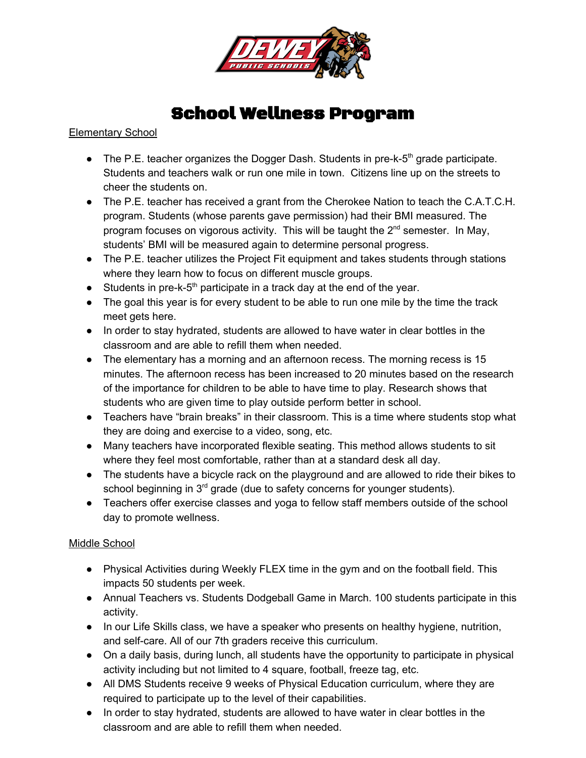

## School Wellness Program

Elementary School

- The P.E. teacher organizes the Dogger Dash. Students in pre-k-5<sup>th</sup> grade participate. Students and teachers walk or run one mile in town. Citizens line up on the streets to cheer the students on.
- The P.E. teacher has received a grant from the Cherokee Nation to teach the C.A.T.C.H. program. Students (whose parents gave permission) had their BMI measured. The program focuses on vigorous activity. This will be taught the  $2<sup>nd</sup>$  semester. In May, students' BMI will be measured again to determine personal progress.
- The P.E. teacher utilizes the Project Fit equipment and takes students through stations where they learn how to focus on different muscle groups.
- Students in pre-k- $5<sup>th</sup>$  participate in a track day at the end of the year.
- The goal this year is for every student to be able to run one mile by the time the track meet gets here.
- In order to stay hydrated, students are allowed to have water in clear bottles in the classroom and are able to refill them when needed.
- The elementary has a morning and an afternoon recess. The morning recess is 15 minutes. The afternoon recess has been increased to 20 minutes based on the research of the importance for children to be able to have time to play. Research shows that students who are given time to play outside perform better in school.
- Teachers have "brain breaks" in their classroom. This is a time where students stop what they are doing and exercise to a video, song, etc.
- Many teachers have incorporated flexible seating. This method allows students to sit where they feel most comfortable, rather than at a standard desk all day.
- The students have a bicycle rack on the playground and are allowed to ride their bikes to school beginning in  $3<sup>rd</sup>$  grade (due to safety concerns for younger students).
- Teachers offer exercise classes and yoga to fellow staff members outside of the school day to promote wellness.

## Middle School

- Physical Activities during Weekly FLEX time in the gym and on the football field. This impacts 50 students per week.
- Annual Teachers vs. Students Dodgeball Game in March. 100 students participate in this activity.
- In our Life Skills class, we have a speaker who presents on healthy hygiene, nutrition, and self-care. All of our 7th graders receive this curriculum.
- On a daily basis, during lunch, all students have the opportunity to participate in physical activity including but not limited to 4 square, football, freeze tag, etc.
- All DMS Students receive 9 weeks of Physical Education curriculum, where they are required to participate up to the level of their capabilities.
- In order to stay hydrated, students are allowed to have water in clear bottles in the classroom and are able to refill them when needed.